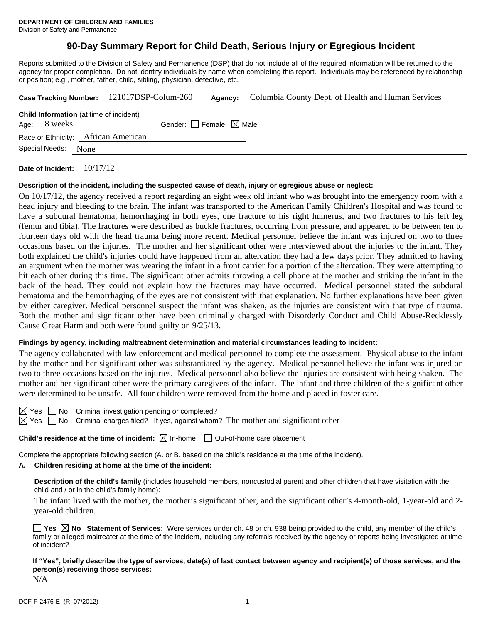# **90-Day Summary Report for Child Death, Serious Injury or Egregious Incident**

Reports submitted to the Division of Safety and Permanence (DSP) that do not include all of the required information will be returned to the agency for proper completion. Do not identify individuals by name when completing this report. Individuals may be referenced by relationship or position; e.g., mother, father, child, sibling, physician, detective, etc.

|                |      | Case Tracking Number: 121017DSP-Colum-260      |                                 | Agency: | Columbia County Dept. of Health and Human Services |  |  |  |
|----------------|------|------------------------------------------------|---------------------------------|---------|----------------------------------------------------|--|--|--|
| Age: 8 weeks   |      | <b>Child Information</b> (at time of incident) | Gender: Female $\boxtimes$ Male |         |                                                    |  |  |  |
|                |      | Race or Ethnicity: African American            |                                 |         |                                                    |  |  |  |
| Special Needs: | None |                                                |                                 |         |                                                    |  |  |  |
|                |      |                                                |                                 |         |                                                    |  |  |  |

**Date of Incident:** 10/17/12

#### **Description of the incident, including the suspected cause of death, injury or egregious abuse or neglect:**

On 10/17/12, the agency received a report regarding an eight week old infant who was brought into the emergency room with a head injury and bleeding to the brain. The infant was transported to the American Family Children's Hospital and was found to have a subdural hematoma, hemorrhaging in both eyes, one fracture to his right humerus, and two fractures to his left leg (femur and tibia). The fractures were described as buckle fractures, occurring from pressure, and appeared to be between ten to fourteen days old with the head trauma being more recent. Medical personnel believe the infant was injured on two to three occasions based on the injuries. The mother and her significant other were interviewed about the injuries to the infant. They both explained the child's injuries could have happened from an altercation they had a few days prior. They admitted to having an argument when the mother was wearing the infant in a front carrier for a portion of the altercation. They were attempting to hit each other during this time. The significant other admits throwing a cell phone at the mother and striking the infant in the back of the head. They could not explain how the fractures may have occurred. Medical personnel stated the subdural hematoma and the hemorrhaging of the eyes are not consistent with that explanation. No further explanations have been given by either caregiver. Medical personnel suspect the infant was shaken, as the injuries are consistent with that type of trauma. Both the mother and significant other have been criminally charged with Disorderly Conduct and Child Abuse-Recklessly Cause Great Harm and both were found guilty on 9/25/13.

#### **Findings by agency, including maltreatment determination and material circumstances leading to incident:**

The agency collaborated with law enforcement and medical personnel to complete the assessment. Physical abuse to the infant by the mother and her significant other was substantiated by the agency. Medical personnel believe the infant was injured on two to three occasions based on the injuries. Medical personnel also believe the injuries are consistent with being shaken. The mother and her significant other were the primary caregivers of the infant. The infant and three children of the significant other were determined to be unsafe. All four children were removed from the home and placed in foster care.

 $\boxtimes$  Yes  $\Box$  No Criminal investigation pending or completed?  $\boxtimes$  Yes  $\Box$  No Criminal charges filed? If yes, against whom? The mother and significant other

**Child's residence at the time of incident:**  $\boxtimes$  In-home  $\Box$  Out-of-home care placement

Complete the appropriate following section (A. or B. based on the child's residence at the time of the incident).

## **A. Children residing at home at the time of the incident:**

**Description of the child's family** (includes household members, noncustodial parent and other children that have visitation with the child and / or in the child's family home):

 The infant lived with the mother, the mother's significant other, and the significant other's 4-month-old, 1-year-old and 2 year-old children.

**Yes No Statement of Services:** Were services under ch. 48 or ch. 938 being provided to the child, any member of the child's family or alleged maltreater at the time of the incident, including any referrals received by the agency or reports being investigated at time of incident?

**If "Yes", briefly describe the type of services, date(s) of last contact between agency and recipient(s) of those services, and the person(s) receiving those services:** 

N/A